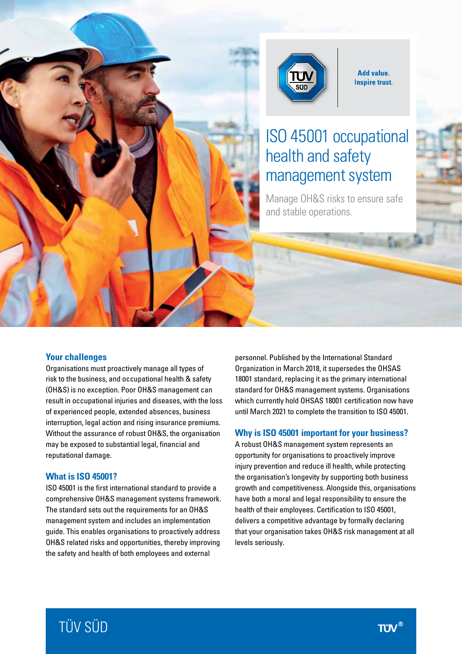

**Add value. Inspire trust.** 

# ISO 45001 occupational health and safety management system

Manage OH&S risks to ensure safe and stable operations.

#### **Your challenges**

Organisations must proactively manage all types of risk to the business, and occupational health & safety (OH&S) is no exception. Poor OH&S management can result in occupational injuries and diseases, with the loss of experienced people, extended absences, business interruption, legal action and rising insurance premiums. Without the assurance of robust OH&S, the organisation may be exposed to substantial legal, financial and reputational damage.

#### **What is ISO 45001?**

ISO 45001 is the first international standard to provide a comprehensive OH&S management systems framework. The standard sets out the requirements for an OH&S management system and includes an implementation guide. This enables organisations to proactively address OH&S related risks and opportunities, thereby improving the safety and health of both employees and external

personnel. Published by the International Standard Organization in March 2018, it supersedes the OHSAS 18001 standard, replacing it as the primary international standard for OH&S management systems. Organisations which currently hold OHSAS 18001 certification now have until March 2021 to complete the transition to ISO 45001.

#### **Why is ISO 45001 important for your business?**

A robust OH&S management system represents an opportunity for organisations to proactively improve injury prevention and reduce ill health, while protecting the organisation's longevity by supporting both business growth and competitiveness. Alongside this, organisations have both a moral and legal responsibility to ensure the health of their employees. Certification to ISO 45001, delivers a competitive advantage by formally declaring that your organisation takes OH&S risk management at all levels seriously.

# TÜV SÜD